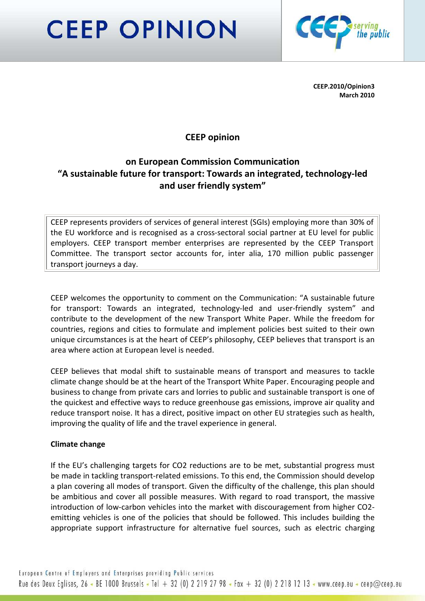# **CEEP OPINION**



CEEP.2010/Opinion3 March 2010

# CEEP opinion

# on European Commission Communication "A sustainable future for transport: Towards an integrated, technology-led and user friendly system"

CEEP represents providers of services of general interest (SGIs) employing more than 30% of the EU workforce and is recognised as a cross-sectoral social partner at EU level for public employers. CEEP transport member enterprises are represented by the CEEP Transport Committee. The transport sector accounts for, inter alia, 170 million public passenger transport journeys a day.

CEEP welcomes the opportunity to comment on the Communication: "A sustainable future for transport: Towards an integrated, technology-led and user-friendly system" and contribute to the development of the new Transport White Paper. While the freedom for countries, regions and cities to formulate and implement policies best suited to their own unique circumstances is at the heart of CEEP's philosophy, CEEP believes that transport is an area where action at European level is needed.

CEEP believes that modal shift to sustainable means of transport and measures to tackle climate change should be at the heart of the Transport White Paper. Encouraging people and business to change from private cars and lorries to public and sustainable transport is one of the quickest and effective ways to reduce greenhouse gas emissions, improve air quality and reduce transport noise. It has a direct, positive impact on other EU strategies such as health, improving the quality of life and the travel experience in general.

## Climate change

If the EU's challenging targets for CO2 reductions are to be met, substantial progress must be made in tackling transport-related emissions. To this end, the Commission should develop a plan covering all modes of transport. Given the difficulty of the challenge, this plan should be ambitious and cover all possible measures. With regard to road transport, the massive introduction of low-carbon vehicles into the market with discouragement from higher CO2 emitting vehicles is one of the policies that should be followed. This includes building the appropriate support infrastructure for alternative fuel sources, such as electric charging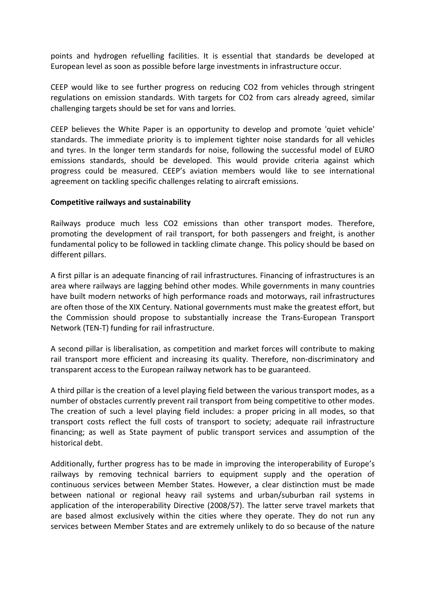points and hydrogen refuelling facilities. It is essential that standards be developed at European level as soon as possible before large investments in infrastructure occur.

CEEP would like to see further progress on reducing CO2 from vehicles through stringent regulations on emission standards. With targets for CO2 from cars already agreed, similar challenging targets should be set for vans and lorries.

CEEP believes the White Paper is an opportunity to develop and promote 'quiet vehicle' standards. The immediate priority is to implement tighter noise standards for all vehicles and tyres. In the longer term standards for noise, following the successful model of EURO emissions standards, should be developed. This would provide criteria against which progress could be measured. CEEP's aviation members would like to see international agreement on tackling specific challenges relating to aircraft emissions.

#### Competitive railways and sustainability

Railways produce much less CO2 emissions than other transport modes. Therefore, promoting the development of rail transport, for both passengers and freight, is another fundamental policy to be followed in tackling climate change. This policy should be based on different pillars.

A first pillar is an adequate financing of rail infrastructures. Financing of infrastructures is an area where railways are lagging behind other modes. While governments in many countries have built modern networks of high performance roads and motorways, rail infrastructures are often those of the XIX Century. National governments must make the greatest effort, but the Commission should propose to substantially increase the Trans-European Transport Network (TEN-T) funding for rail infrastructure.

A second pillar is liberalisation, as competition and market forces will contribute to making rail transport more efficient and increasing its quality. Therefore, non-discriminatory and transparent access to the European railway network has to be guaranteed.

A third pillar is the creation of a level playing field between the various transport modes, as a number of obstacles currently prevent rail transport from being competitive to other modes. The creation of such a level playing field includes: a proper pricing in all modes, so that transport costs reflect the full costs of transport to society; adequate rail infrastructure financing; as well as State payment of public transport services and assumption of the historical debt.

Additionally, further progress has to be made in improving the interoperability of Europe's railways by removing technical barriers to equipment supply and the operation of continuous services between Member States. However, a clear distinction must be made between national or regional heavy rail systems and urban/suburban rail systems in application of the interoperability Directive (2008/57). The latter serve travel markets that are based almost exclusively within the cities where they operate. They do not run any services between Member States and are extremely unlikely to do so because of the nature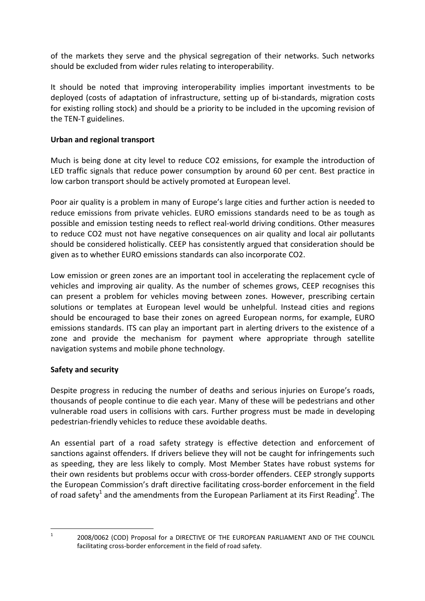of the markets they serve and the physical segregation of their networks. Such networks should be excluded from wider rules relating to interoperability.

It should be noted that improving interoperability implies important investments to be deployed (costs of adaptation of infrastructure, setting up of bi-standards, migration costs for existing rolling stock) and should be a priority to be included in the upcoming revision of the TEN-T guidelines.

## Urban and regional transport

Much is being done at city level to reduce CO2 emissions, for example the introduction of LED traffic signals that reduce power consumption by around 60 per cent. Best practice in low carbon transport should be actively promoted at European level.

Poor air quality is a problem in many of Europe's large cities and further action is needed to reduce emissions from private vehicles. EURO emissions standards need to be as tough as possible and emission testing needs to reflect real-world driving conditions. Other measures to reduce CO2 must not have negative consequences on air quality and local air pollutants should be considered holistically. CEEP has consistently argued that consideration should be given as to whether EURO emissions standards can also incorporate CO2.

Low emission or green zones are an important tool in accelerating the replacement cycle of vehicles and improving air quality. As the number of schemes grows, CEEP recognises this can present a problem for vehicles moving between zones. However, prescribing certain solutions or templates at European level would be unhelpful. Instead cities and regions should be encouraged to base their zones on agreed European norms, for example, EURO emissions standards. ITS can play an important part in alerting drivers to the existence of a zone and provide the mechanism for payment where appropriate through satellite navigation systems and mobile phone technology.

## Safety and security

Despite progress in reducing the number of deaths and serious injuries on Europe's roads, thousands of people continue to die each year. Many of these will be pedestrians and other vulnerable road users in collisions with cars. Further progress must be made in developing pedestrian-friendly vehicles to reduce these avoidable deaths.

An essential part of a road safety strategy is effective detection and enforcement of sanctions against offenders. If drivers believe they will not be caught for infringements such as speeding, they are less likely to comply. Most Member States have robust systems for their own residents but problems occur with cross-border offenders. CEEP strongly supports the European Commission's draft directive facilitating cross-border enforcement in the field of road safety<sup>1</sup> and the amendments from the European Parliament at its First Reading<sup>2</sup>. The

 $\frac{1}{1}$ 

 <sup>2008/0062 (</sup>COD) Proposal for a DIRECTIVE OF THE EUROPEAN PARLIAMENT AND OF THE COUNCIL facilitating cross-border enforcement in the field of road safety.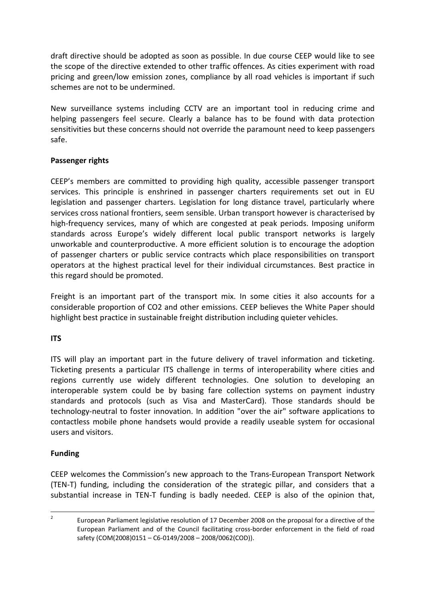draft directive should be adopted as soon as possible. In due course CEEP would like to see the scope of the directive extended to other traffic offences. As cities experiment with road pricing and green/low emission zones, compliance by all road vehicles is important if such schemes are not to be undermined.

New surveillance systems including CCTV are an important tool in reducing crime and helping passengers feel secure. Clearly a balance has to be found with data protection sensitivities but these concerns should not override the paramount need to keep passengers safe.

#### Passenger rights

CEEP's members are committed to providing high quality, accessible passenger transport services. This principle is enshrined in passenger charters requirements set out in EU legislation and passenger charters. Legislation for long distance travel, particularly where services cross national frontiers, seem sensible. Urban transport however is characterised by high-frequency services, many of which are congested at peak periods. Imposing uniform standards across Europe's widely different local public transport networks is largely unworkable and counterproductive. A more efficient solution is to encourage the adoption of passenger charters or public service contracts which place responsibilities on transport operators at the highest practical level for their individual circumstances. Best practice in this regard should be promoted.

Freight is an important part of the transport mix. In some cities it also accounts for a considerable proportion of CO2 and other emissions. CEEP believes the White Paper should highlight best practice in sustainable freight distribution including quieter vehicles.

## ITS

ITS will play an important part in the future delivery of travel information and ticketing. Ticketing presents a particular ITS challenge in terms of interoperability where cities and regions currently use widely different technologies. One solution to developing an interoperable system could be by basing fare collection systems on payment industry standards and protocols (such as Visa and MasterCard). Those standards should be technology-neutral to foster innovation. In addition "over the air" software applications to contactless mobile phone handsets would provide a readily useable system for occasional users and visitors.

#### Funding

CEEP welcomes the Commission's new approach to the Trans-European Transport Network (TEN-T) funding, including the consideration of the strategic pillar, and considers that a substantial increase in TEN-T funding is badly needed. CEEP is also of the opinion that,

 $\frac{1}{2}$ 

European Parliament legislative resolution of 17 December 2008 on the proposal for a directive of the European Parliament and of the Council facilitating cross-border enforcement in the field of road safety (COM(2008)0151 – C6-0149/2008 – 2008/0062(COD)).